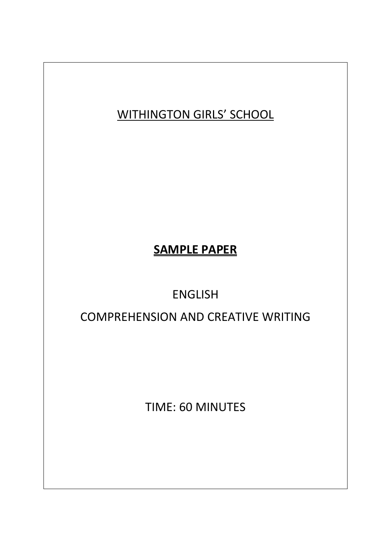

## **SAMPLE PAPER**

# ENGLISH

## COMPREHENSION AND CREATIVE WRITING

TIME: 60 MINUTES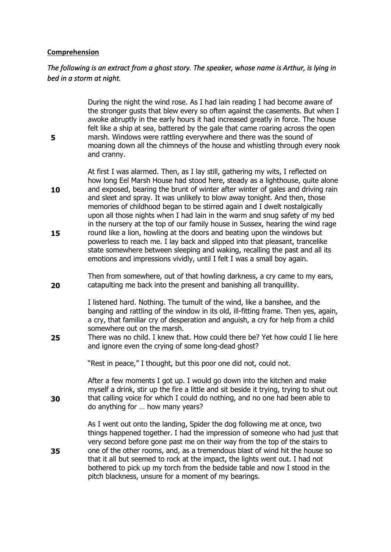#### **Comprehension**

**5**

**30**

### *The following is an extract from a ghost story. The speaker, whose name is Arthur, is lying in bed in a storm at night.*

During the night the wind rose. As I had lain reading I had become aware of the stronger gusts that blew every so often against the casements. But when I awoke abruptly in the early hours it had increased greatly in force. The house felt like a ship at sea, battered by the gale that came roaring across the open marsh. Windows were rattling everywhere and there was the sound of moaning down all the chimneys of the house and whistling through every nook and cranny.

- **10 15** At first I was alarmed. Then, as I lay still, gathering my wits, I reflected on how long Eel Marsh House had stood here, steady as a lighthouse, quite alone and exposed, bearing the brunt of winter after winter of gales and driving rain and sleet and spray. It was unlikely to blow away tonight. And then, those memories of childhood began to be stirred again and I dwelt nostalgically upon all those nights when I had lain in the warm and snug safety of my bed in the nursery at the top of our family house in Sussex, hearing the wind rage round like a lion, howling at the doors and beating upon the windows but powerless to reach me. I lay back and slipped into that pleasant, trancelike state somewhere between sleeping and waking, recalling the past and all its emotions and impressions vividly, until I felt I was a small boy again.
- **20** Then from somewhere, out of that howling darkness, a cry came to my ears, catapulting me back into the present and banishing all tranquillity.

I listened hard. Nothing. The tumult of the wind, like a banshee, and the banging and rattling of the window in its old, ill-fitting frame. Then yes, again, a cry, that familiar cry of desperation and anguish, a cry for help from a child somewhere out on the marsh.

**25** There was no child. I knew that. How could there be? Yet how could I lie here and ignore even the crying of some long-dead ghost?

"Rest in peace," I thought, but this poor one did not, could not.

After a few moments I got up. I would go down into the kitchen and make myself a drink, stir up the fire a little and sit beside it trying, trying to shut out that calling voice for which I could do nothing, and no one had been able to do anything for … how many years?

**35** As I went out onto the landing, Spider the dog following me at once, two things happened together. I had the impression of someone who had just that very second before gone past me on their way from the top of the stairs to one of the other rooms, and, as a tremendous blast of wind hit the house so that it all but seemed to rock at the impact, the lights went out. I had not bothered to pick up my torch from the bedside table and now I stood in the pitch blackness, unsure for a moment of my bearings.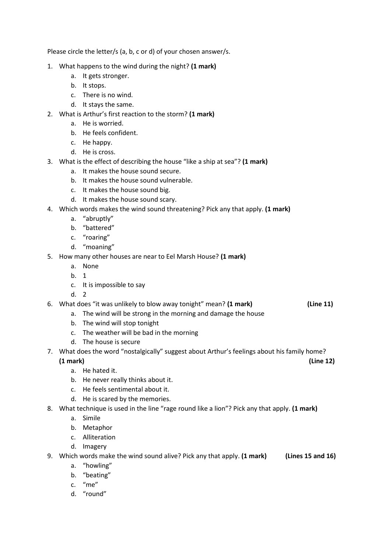Please circle the letter/s (a, b, c or d) of your chosen answer/s.

- 1. What happens to the wind during the night? **(1 mark)**
	- a. It gets stronger.
	- b. It stops.
	- c. There is no wind.
	- d. It stays the same.
- 2. What is Arthur's first reaction to the storm? **(1 mark)**
	- a. He is worried.
	- b. He feels confident.
	- c. He happy.
	- d. He is cross.
- 3. What is the effect of describing the house "like a ship at sea"? **(1 mark)**
	- a. It makes the house sound secure.
	- b. It makes the house sound vulnerable.
	- c. It makes the house sound big.
	- d. It makes the house sound scary.
- 4. Which words makes the wind sound threatening? Pick any that apply. **(1 mark)**
	- a. "abruptly"
	- b. "battered"
	- c. "roaring"
	- d. "moaning"
- 5. How many other houses are near to Eel Marsh House? **(1 mark)**
	- a. None
	- b. 1
	- c. It is impossible to say
	- d. 2

#### 6. What does "it was unlikely to blow away tonight" mean? **(1 mark) (Line 11)**

- a. The wind will be strong in the morning and damage the house
- b. The wind will stop tonight
- c. The weather will be bad in the morning
- d. The house is secure
- 7. What does the word "nostalgically" suggest about Arthur's feelings about his family home? **(1 mark) (Line 12)**
	- a. He hated it.
	- b. He never really thinks about it.
	- c. He feels sentimental about it.
	- d. He is scared by the memories.
- 8. What technique is used in the line "rage round like a lion"? Pick any that apply. **(1 mark)**
	- a. Simile
	- b. Metaphor
	- c. Alliteration
	- d. Imagery
- 9. Which words make the wind sound alive? Pick any that apply. **(1 mark) (Lines 15 and 16)** 
	- a. "howling"
	- b. "beating"
	- c. "me"
	- d. "round"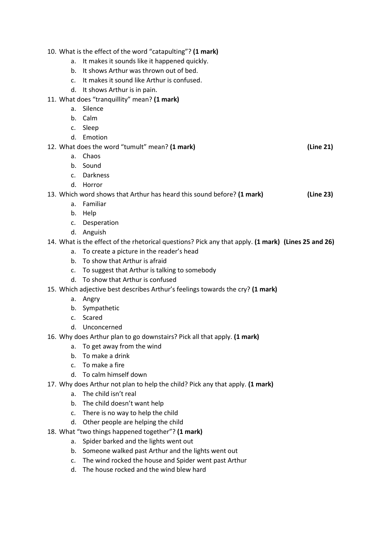|  |  |  |  | 10. What is the effect of the word "catapulting"? (1 mark) |  |  |
|--|--|--|--|------------------------------------------------------------|--|--|
|--|--|--|--|------------------------------------------------------------|--|--|

- a. It makes it sounds like it happened quickly.
- b. It shows Arthur was thrown out of bed.
- c. It makes it sound like Arthur is confused.
- d. It shows Arthur is in pain.
- 11. What does "tranquillity" mean? **(1 mark)**
	- a. Silence
	- b. Calm
	- c. Sleep
	- d. Emotion

### 12. What does the word "tumult" mean? **(1 mark) (Line 21)**

- a. Chaos
- b. Sound
- c. Darkness
- d. Horror

13. Which word shows that Arthur has heard this sound before? **(1 mark) (Line 23)**

- a. Familiar
- b. Help
- c. Desperation
- d. Anguish
- 14. What is the effect of the rhetorical questions? Pick any that apply. **(1 mark) (Lines 25 and 26)**
	- a. To create a picture in the reader's head
	- b. To show that Arthur is afraid
	- c. To suggest that Arthur is talking to somebody
	- d. To show that Arthur is confused
- 15. Which adjective best describes Arthur's feelings towards the cry? **(1 mark)**
	- a. Angry
	- b. Sympathetic
	- c. Scared
	- d. Unconcerned
- 16. Why does Arthur plan to go downstairs? Pick all that apply. **(1 mark)**
	- a. To get away from the wind
	- b. To make a drink
	- c. To make a fire
	- d. To calm himself down
- 17. Why does Arthur not plan to help the child? Pick any that apply. **(1 mark)**
	- a. The child isn't real
	- b. The child doesn't want help
	- c. There is no way to help the child
	- d. Other people are helping the child
- 18. What "two things happened together"? **(1 mark)**
	- a. Spider barked and the lights went out
	- b. Someone walked past Arthur and the lights went out
	- c. The wind rocked the house and Spider went past Arthur
	- d. The house rocked and the wind blew hard